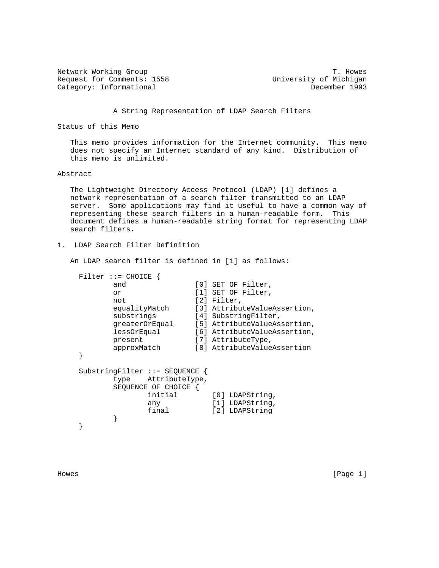Network Working Group<br>Request for Comments: 1558 University of Michigan Request for Comments: 1558 University of Michigan<br>Category: Informational December 1993 Category: Informational

A String Representation of LDAP Search Filters

Status of this Memo

 This memo provides information for the Internet community. This memo does not specify an Internet standard of any kind. Distribution of this memo is unlimited.

## Abstract

 The Lightweight Directory Access Protocol (LDAP) [1] defines a network representation of a search filter transmitted to an LDAP server. Some applications may find it useful to have a common way of representing these search filters in a human-readable form. This document defines a human-readable string format for representing LDAP search filters.

1. LDAP Search Filter Definition

An LDAP search filter is defined in [1] as follows:

| $Filter :: = CHOICE$           |                     |                              |                              |
|--------------------------------|---------------------|------------------------------|------------------------------|
| and                            |                     |                              | [0] SET OF Filter,           |
| or                             |                     |                              | [1] SET OF Filter,           |
| not                            |                     | $[2]$ Filter,                |                              |
| equalityMatch                  |                     |                              | [3] AttributeValueAssertion, |
| substrings                     |                     | [4] SubstringFilter,         |                              |
| qreaterOrEqual                 |                     | [5] AttributeValueAssertion, |                              |
| lessOrEqual                    |                     | [6] AttributeValueAssertion, |                              |
| present                        |                     | [7] AttributeType,           |                              |
| approxMatch                    |                     |                              | [8] AttributeValueAssertion  |
|                                |                     |                              |                              |
| SubstringFilter ::= SEQUENCE { |                     |                              |                              |
|                                | type AttributeType, |                              |                              |
| SEQUENCE OF CHOICE             |                     |                              |                              |
|                                | initial             |                              | [0] LDAPString,              |
| any                            |                     |                              | [1] LDAPString,              |
|                                | final               |                              | [2] LDAPString               |
|                                |                     |                              |                              |
|                                |                     |                              |                              |

Howes [Page 1]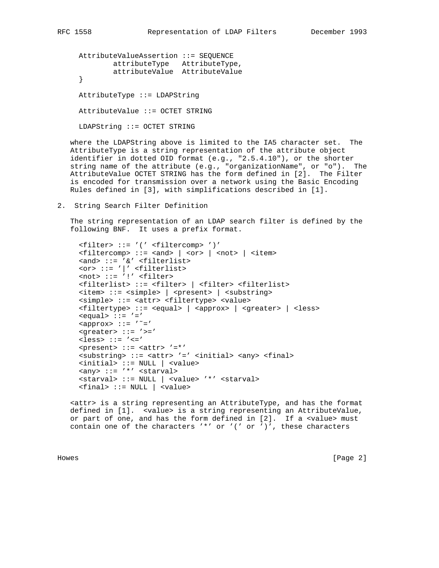AttributeValueAssertion ::= SEQUENCE attributeType AttributeType, attributeValue AttributeValue } AttributeType ::= LDAPString AttributeValue ::= OCTET STRING

LDAPString ::= OCTET STRING

 where the LDAPString above is limited to the IA5 character set. The AttributeType is a string representation of the attribute object identifier in dotted OID format (e.g., "2.5.4.10"), or the shorter string name of the attribute (e.g., "organizationName", or "o"). The AttributeValue OCTET STRING has the form defined in [2]. The Filter is encoded for transmission over a network using the Basic Encoding Rules defined in [3], with simplifications described in [1].

2. String Search Filter Definition

 The string representation of an LDAP search filter is defined by the following BNF. It uses a prefix format.

```
 <filter> ::= '(' <filtercomp> ')'
    \text{stilercomp}::= <and> | <or> | <not> | <item>
     <and> ::= '&' <filterlist>
<or> ::= '|' <filterlist>
<not> ::= '!' <filter>
    <filterlist> ::= <filter> | <filter> <filterlist>
    <item> ::= <simple> | <present> | <substring>
    <simple> ::= <attr> <filtertype> <value>
    <filtertype> ::= <equal> | <approx> | <greater> | <less>
   \le equal> \cdot : = \prime = \prime
    <greater> ::= '>='
    <less> ::= '<='
    <present> ::= <attr> '=*'
     <substring> ::= <attr> '=' <initial> <any> <final>
    <initial> ::= NULL | <value>
    <any> ::= '*' <starval>
    <starval> ::= NULL | <value> '*' <starval>
    <final> ::= NULL | <value>
```
 <attr> is a string representing an AttributeType, and has the format defined in [1]. <value> is a string representing an AttributeValue, or part of one, and has the form defined in [2]. If a <value> must contain one of the characters  $'$ \*' or '(' or ')', these characters

Howes [Page 2]